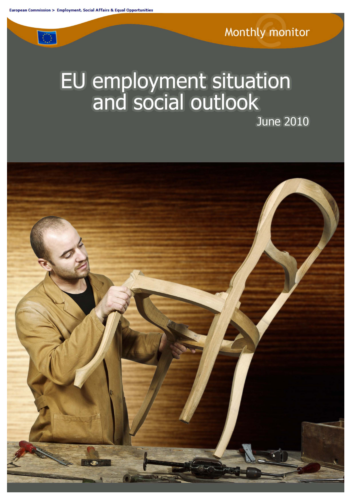$\langle \rangle$ 

# EU employment situation<br>and social outlook

EU employment situation and social outlook June 2010

**June 2010** 

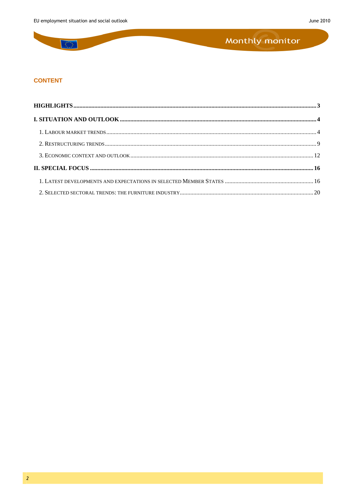$\overline{\mathbb{C}}$ 

## Monthly monitor

#### **CONTENT**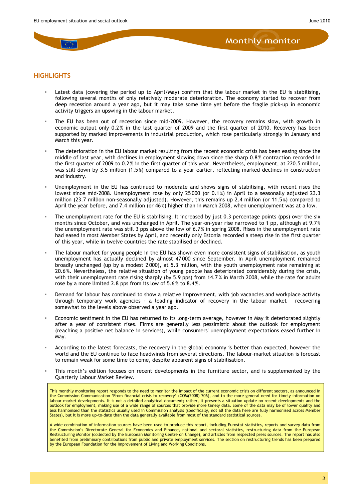#### <span id="page-2-0"></span>**HIGHLIGHTS**

- Latest data (covering the period up to April/May) confirm that the labour market in the EU is stabilising, following several months of only relatively moderate deterioration. The economy started to recover from deep recession around a year ago, but it may take some time yet before the fragile pick-up in economic activity triggers an upswing in the labour market.
- The EU has been out of recession since mid-2009. However, the recovery remains slow, with growth in economic output only 0.2% in the last quarter of 2009 and the first quarter of 2010. Recovery has been supported by marked improvements in industrial production, which rose particularly strongly in January and March this year.
- The deterioration in the EU labour market resulting from the recent economic crisis has been easing since the middle of last year, with declines in employment slowing down since the sharp 0.8% contraction recorded in the first quarter of 2009 to 0.2% in the first quarter of this year. Nevertheless, employment, at 220.5 million, was still down by 3.5 million (1.5 %) compared to a year earlier, reflecting marked declines in construction and industry.
- Unemployment in the EU has continued to moderate and shows signs of stabilising, with recent rises the lowest since mid-2008. Unemployment rose by only 25 000 (or 0.1%) in April to a seasonally adjusted 23.3 million (23.7 million non-seasonally adjusted). However, this remains up 2.4 million (or 11.5 %) compared to April the year before, and 7.4 million (or 46 %) higher than in March 2008, when unemployment was at a low.
- The unemployment rate for the EU is stabilising. It increased by just 0.3 percentage points (pps) over the six months since October, and was unchanged in April. The year-on-year rise narrowed to 1 pp, although at 9.7 % the unemployment rate was still 3 pps above the low of 6.7 % in spring 2008. Rises in the unemployment rate had eased in most Member States by April, and recently only Estonia recorded a steep rise in the first quarter of this year, while in twelve countries the rate stabilised or declined.
- The labour market for young people in the EU has shown even more consistent signs of stabilisation, as youth unemployment has actually declined by almost 47 000 since September. In April unemployment remained broadly unchanged (up by a modest 2 000), at 5.3 million, with the youth unemployment rate remaining at 20.6 %. Nevertheless, the relative situation of young people has deteriorated considerably during the crisis, with their unemployment rate rising sharply (by 5.9 pps) from 14.7% in March 2008, while the rate for adults rose by a more limited 2.8 pps from its low of 5.6 % to 8.4 %.
- Demand for labour has continued to show a relative improvement, with job vacancies and workplace activity through temporary work agencies - a leading indicator of recovery in the labour market – recovering somewhat to the levels above observed a year ago.
- Economic sentiment in the EU has returned to its long-term average, however in May it deteriorated slightly after a year of consistent rises. Firms are generally less pessimistic about the outlook for employment (reaching a positive net balance in services), while consumers' unemployment expectations eased further in May.
- According to the latest forecasts, the recovery in the global economy is better than expected, however the world and the EU continue to face headwinds from several directions. The labour-market situation is forecast to remain weak for some time to come, despite apparent signs of stabilisation.
- This month's edition focuses on recent developments in the furniture sector, and is supplemented by the Quarterly Labour Market Review.

This monthly monitoring report responds to the need to monitor the impact of the current economic crisis on different sectors, as announced in the Commission Communication 'From financial crisis to recovery' (COM(2008) 706), and to the more general need for timely information on labour market developments. It is not a detailed analytical document; rather, it presents a situation update on recent developments and the outlook for employment, making use of a wide range of sources that provide more timely data. Some of the data may be of lower quality and less harmonised than the statistics usually used in Commission analysis (specifically, not all the data here are fully harmonised across Member States), but it is more up-to-date than the data generally available from most of the standard statistical sources.

A wide combination of information sources have been used to produce this report, including Eurostat statistics, reports and survey data from the Commission's Directorate General for Economics and Finance, national and sectoral statistics, restructuring data from the European Restructuring Monitor (collected by the European Monitoring Centre on Change), and articles from respected press sources. The report has also benefited from preliminary contributions from public and private employment services. The section on restructuring trends has been prepared by the European Foundation for the Improvement of Living and Working Conditions.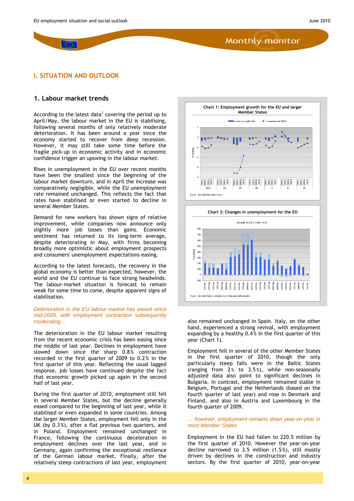#### <span id="page-3-0"></span>**I. SITUATION AND OUTLOOK**

#### <span id="page-3-1"></span>**1. Labour market trends**

According to the latest data<sup>1</sup> covering the period up to April/May, the labour market in the EU is stabilising, following several months of only relatively moderate deterioration. It has been around a year since the economy started to recover from deep recession. However, it may still take some time before the fragile pick-up in economic activity and in economic confidence trigger an upswing in the labour market.

Rises in unemployment in the EU over recent months have been the smallest since the beginning of the labour market downturn, and in April the increase was comparatively negligible, while the EU unemployment rate remained unchanged. This reflects the fact that rates have stabilised or even started to decline in several Member States.

Demand for new workers has shown signs of relative improvement, while companies now announce only slightly more [job losses than gains.](http://ec.europa.eu/eurostat) Economic sentiment has returned to its long-term average, despite det[eriorating in](http://www.oecd.org/) May, w[ith firms becoming](http://stats.oecd.org/index.aspx)  broadly more optimistic about employment prospects and consumers' unemployment expectations easing.

According to the latest forecasts, the recovery in the global economy is better than expected, however, the world and the EU continue to face strong headwinds. The labour-market situation is forecast to remain weak for some time to come, despite apparent signs of stabilisation.

#### *Deterioration in the EU labour market has eased since mid-2009, with employment contraction subsequently moderating…*

The deterioration in the EU labour market resulting from the recent economic crisis has been easing since the middle of last year. Declines in employment have slowed down since the sharp 0.8% contraction recorded in the first quarter of 2009 to 0.2% in the first quarter of this year. Reflecting the usual lagged response, job losses have continued despite the fact that economic growth picked up again in the second half of last year.

During the first quarter of 2010, employment still fell in several Member States, but the decline generally eased compared to the beginning of last year, while it stabilised or even expanded in some countries. Among the larger Member States, employment fell only in the UK (by 0.3%), after a flat previous two quarters, and in Poland. Employment remained unchanged in France, following the continuous deceleration in employment declines over the last year, and in Germany, again confirming the exceptional resilience of the German labour market. Finally, after the relatively steep contractions of last year, employment





also remained unchanged in Spain. Italy, on the other hand, experienced a strong revival, with employment expanding by a healthy 0.4% in the first quarter of this year (Chart 1).

Employment fell in several of the other Member States in the first quarter of 2010, though the only particularly steep falls were in the Baltic States (ranging from  $2\%$  to  $3.5\%$ ), while non-seasonally adjusted data also point to significant declines in Bulgaria. In contrast, employment remained stable in Belgium, Portugal and the Netherlands (based on the fourth quarter of last year) and rose in Denmark and Finland, and also in Austria and Luxembourg in the fourth quarter of 2009.

#### *… however, employment remains down year-on-year in most Member States*

Employment in the EU had fallen to 220.5 million by the first quarter of 2010. However the year-on-year decline narrowed to 3.5 million (1.5%), still mostly driven by declines in the construction and industry sectors. By the first quarter of 2010, year-on-year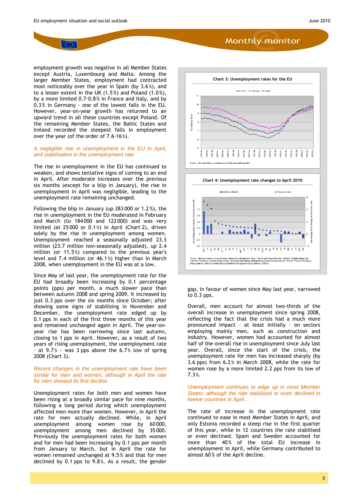employment growth was negative in all Member States except Austria, Luxembourg and Malta. Among the larger Member States, employment had contracted most noticeably over the year in Spain (by 3.6 %), and to a lesser extent in the UK (1.5%) and Poland (1.0%), by a more limited 0.7-0.8% in France and Italy, and by 0.3% in Germany - one of the lowest falls in the EU. However, year-on-year growth has returned to an upward trend in all these countries except Poland. Of the remaining Member States, the Baltic States and Ireland recorded the steepest falls in employment over the year (of the order of 7.6-16%).

#### *A negligible rise in unemployment in the EU in April, and stabilisation in the unemployment rate*

The rise in unemployment in the EU has continued to weaken, and shows tentative signs of coming to an end in April. After moderate increases over the previous six months (except for a blip in January), the rise in unemployment in April was negligible, leading to the unemployment rate remaining unchanged.

Following the blip in January (up 283 000 or 1.2 %), the rise in unemployment in the EU moderated in February and March (to 184 000 and 122 000) and was very limited (at 25 000 or 0.1 %) in April (Chart 2), driven solely by the rise in unemployment among women. Unemployment reached a seasonally adjusted 23.3 million (23.7 million non-seasonally adjusted), up 2.4 million (or 11.5%) compared to the previous year's level and 7.4 million (or 46.1 %) higher than in March 2008, when unemployment in the EU was at a low.

Since May of last year, the unemployment rate for the EU had broadly been increasing by 0.1 percentage points (pps) per month, a much slower pace than between autumn 2008 and spring 2009. It increased by just 0.3 pps over the six months since October; after showing some signs of stabilising in November and December, the unemployment rate edged up by 0.1 pps in each of the first three months of this year and remained unchanged again in April. The year-onyear rise has been narrowing since last autumn, closing to 1 pps in April. However, as a result of two years of rising unemployment, the unemployment rate - at  $9.7%$  - was 3 pps above the 6.7% low of spring 2008 (Chart 3).

#### *Recent changes in the unemployment rate have been similar for men and women, although in April the rate for men showed its first decline*

Unemployment rates for both men and women have been rising at a broadly similar pace for nine months, following a long period during which unemployment affected men more than women. However, in April the rate for men actually declined. While, in April unemployment among women rose by 60 000, unemployment among men declined by 35 000. Previously the unemployment rates for both women and for men had been increasing by 0.1 pps per month from January to March, but in April the rate for women remained unchanged at 9.5 % and that for men declined by 0.1 pps to 9.8 %. As a result, the gender





gap, in favour of women since May last year, narrowed to 0.3 pps.

Overall, men account for almost two-thirds of the overall increase in unemployment since spring 2008, reflecting the fact that the crisis had a much more pronounced impact – at least initially - on sectors employing mainly men, such as construction and industry. However, women had accounted for almost half of the overall rise in unemployment since July last year. Overall, since the start of the crisis, the unemployment rate for men has increased sharply (by 3.6 pps) from 6.2 % in March 2008, while the rate for women rose by a more limited 2.2 pps from its low of 7.3 %.

#### *Unemployment continues to edge up in most Member States, although the rate stabilised or even declined in twelve countries in April…*

The rate of increase in the unemployment rate continued to ease in most Member States in April, and only Estonia recorded a steep rise in the first quarter of this year, while in 12 countries the rate stabilised or even declined. Spain and Sweden accounted for more than 40% of the total EU increase in unemployment in April, while Germany contributed to almost 60% of the April decline.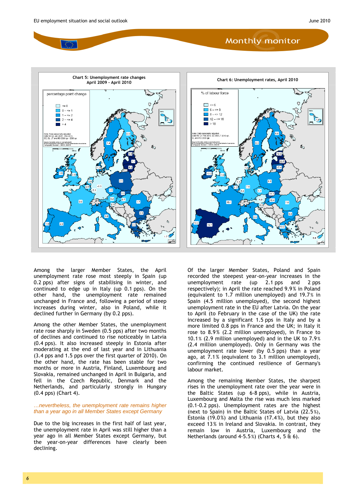





Among the larger Member States, the April unemployment rate rose most steeply in Spain (up 0.2 pps) after signs of stabilising in winter, and continued to edge up in Italy (up 0.1 pps). On the other hand, the unemployment rate remained unchanged in France and, following a period of steep increases during winter, also in Poland, while it declined further in Germany (by 0.2 pps).

Among the other Member States, the unemployment rate rose sharply in Sweden (0.5 pps) after two months of declines and continued to rise noticeably in Latvia (0.4 pps). It also increased steeply in Estonia after moderating at the end of last year and in Lithuania (3.4 pps and 1.5 pps over the first quarter of 2010). On the other hand, the rate has been stable for two months or more in Austria, Finland, Luxembourg and Slovakia, remained unchanged in April in Bulgaria, and fell in the Czech Republic, Denmark and the Netherlands, and particularly strongly in Hungary (0.4 pps) (Chart 4).

#### *…nevertheless, the unemployment rate remains higher than a year ago in all Member States except Germany*

Due to the big increases in the first half of last year, the unemployment rate in April was still higher than a year ago in all Member States except Germany, but the year-on-year differences have clearly been declining.

Of the larger Member States, Poland and Spain recorded the steepest year-on-year increases in the unemployment rate (up 2.1 pps and 2 pps respectively); in April the rate reached 9.9 % in Poland (equivalent to 1.7 million unemployed) and 19.7% in Spain (4.5 million unemployed), the second highest unemployment rate in the EU after Latvia. On the year to April (to February in the case of the UK) the rate increased by a significant 1.5 pps in Italy and by a more limited 0.8 pps in France and the UK; in Italy it rose to 8.9% (2.2 million unemployed), in France to 10.1 % (2.9 million unemployed) and in the UK to 7.9 % (2.4 million unemployed). Only in Germany was the unemployment rate lower (by 0.5 pps) than a year ago, at 7.1 % (equivalent to 3.1 million unemployed), confirming the continued resilience of Germany's labour market.

Among the remaining Member States, the sharpest rises in the unemployment rate over the year were in the Baltic States (up 6-8 pps), while in Austria, Luxembourg and Malta the rise was much less marked (0.1-0.2 pps). Unemployment rates are the highest (next to Spain) in the Baltic States of Latvia (22.5 %), Estonia (19.0%) and Lithuania (17.4%), but they also exceed 13 % in Ireland and Slovakia. In contrast, they remain low in Austria, Luxembourg and the Netherlands (around 4-5.5 %) (Charts 4, 5 & 6).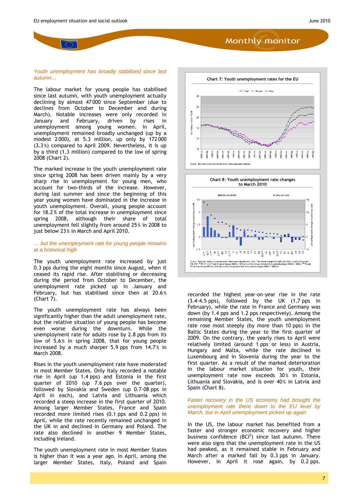#### *Youth unemployment has broadly stabilised since last autumn…*

The labour market for young people has stabilised since last autumn, with youth unemployment actually declining by almost 47 000 since September (due to declines from October to December and during March). Notable increases were only recorded in January and February, driven by rises in unemployment among young women. In April, unemployment remained broadly unchanged (up by a modest 2 000), at 5.3 million, up only by 172 000 (3.3 %) compared to April 2009. Nevertheless, it is up by a third (1.3 million) compared to the low of spring 2008 (Chart 2).

The marked increase in the youth unemployment rate since spring 2008 has been driven mainly by a very sharp rise in unemployment for young men, who account for two-thirds of the increase. However, during last summer and since the beginning of this year young women have dominated in the increase in youth unemployment. Overall, young people account for 18.2 % of the total increase in unemployment since spring 2008, although their share of total unemployment fell slightly from around 25% in 2008 to just below 23% in March and April 2010.

#### *… but the unemployment rate for young people remains at a historical high*

[The youth unemployment rate increased by](http://www.oecd.org/dataoecd/26/39/41629509.pdf) just 0.3 pps during the eight months since August, when it ceased its rapid rise. After stabilising or decreasing during the period from October to December, the unemployment rate picked up in January and February, but has stabilised since then at 20.6 %  $(Chart7)$ .

The youth unemployment rate has always been significantly higher than the adult unemployment rate, but the relative situation of young people has become even worse during the downturn. While the unemployment rate for adults rose by 2.8 pps from its low of 5.6% in spring 2008, that for young people increased by a much sharper 5.9 pps from 14.7% in March 2008.

Rises in the youth unemployment rate have moderated in most Member States. Only Italy recorded a notable rise in April (up 1.4 pps) and Estonia in the first quarter of 2010 (up 7.6 pps over the quarter), followed by Slovakia and Sweden (up 0.7-08 pps in April in each), and Latvia and Lithuania which recorded a steep increase in the first quarter of 2010. Among larger Member States, France and Spain recorded more limited rises (0.1 pps and 0.2 pps) in April, while the rate recently remained unchanged in the UK in and declined in Germany and Poland. The rate also declined in another  $9$  Member States, including Ireland.

The youth unemployment rate in most Member States is higher than it was a year ago. In April, among the larger Member States, Italy, Poland and Spain





recorded the highest year-on-year rise in the rate (3.4-4.5 pps), followed by the UK (1.7 pps in February), while the rate in France and Germany was down (by 1.4 pps and 1.2 pps respectively). Among the remaining Member States, the youth unemployment rate rose most steeply (by more than 10 pps) in the Baltic States during the year to the first quarter of 2009. On the contrary, the yearly rises to April were relatively limited (around 1 pps or less) in Austria, Hungary and Malta, while the rate declined in Luxembourg and in Slovenia during the year to the first quarter. As a result of the marked deterioration in the labour market situation for youth, their unemployment rate now exceeds 30% in Estonia, Lithuania and Slovakia, and is over 40% in Latvia and Spain (Chart 8).

*Faster recovery in the US economy had brought the unemployment rate there down to the EU level by March, but in April unemployment picked up again* 

In the US, the labour market has benefited from a faster and stronger economic recovery and higher business confidence  $(BCl^2)$  since last autumn. There were also signs that the unemployment rate in the US had peaked, as it remained stable in February and March after a marked fall by 0.3 pps in January. However, in April it rose again, by 0.2 pps.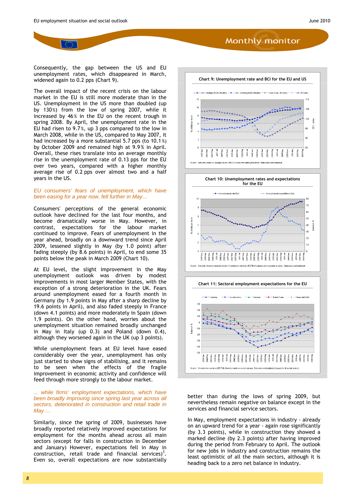Consequently, the gap between the US and EU unemployment rates, which disappeared in March, widened again to 0.2 pps (Chart 9).

The overall impact of the recent crisis on the labour market in the EU is still more moderate than in the US. Unemployment in the US more than doubled (up by 130%) from the low of spring 2007, while it increased by 46% in the EU on the recent trough in spring 2008. By April, the unemployment rate in the EU had risen to 9.7 %, up 3 pps compared to the low in March 2008, while in the US, compared to May 2007, it had increased by a more substantial 5.7 pps (to 10.1 %) by October 2009 and remained high at 9.9 % in April. Overall, these rises translate into an average monthly rise in the unemployment rate of 0.13 pps for the EU over two years, compared with a higher monthly average rise of 0.2 pps over almost two and a half years in the US.

#### *EU consumers' fears of unemployment, which have been easing for a year now, fell further in May…*

Consumers' perceptions of the general economic outlook have declined for the last four months, and become dramatically worse in May. However, in contrast, expectations for the labour market continued to improve. Fears of unemployment in the year ahead, broadly on a downward trend since April 2009, lessened slightly in May (by 1.0 point) after fading steeply (by 8.6 points) in April, to end some 35 points below the peak in March 2009 (Chart 10).

At EU level, the slight improvement in the May unemployment outlook was driven by modest improvements in most larger Member States, with the exception of a strong deterioration in the UK. Fears around unemployment eased for a fourth month in Germany (by 1.9 points in May after a sharp decline by 19.6 points in April), and also faded steeply in France (down 4.1 points) and more moderately in Spain (down 1.9 points). On the other hand, worries about the unemployment situation remained broadly unchanged in May in Italy (up 0.3) and Poland (down 0.4), although they worsened again in the UK (up 3 points).

While unemployment fears at EU level have eased considerably over the year, unemployment has only just started to show signs of stabilising, and it remains to be seen when the effects of the fragile improvement in economic activity and confidence will feed through more strongly to the labour market.

*... while firms' employment expectations, which have been broadly improving since spring last year across all sectors, deteriorated in construction and retail trade in May …* 

Similarly, since the spring of 2009, businesses have broadly reported relatively improved expectations for employment for the months ahead across all main sectors (except for falls in construction in December and January) However, expectations fell in May in construction, retail trade and financial services)<sup>3</sup>. Even so, overall expectations are now substantially





better than during the lows of spring 2009, but nevertheless remain negative on balance except in the services and financial service sectors.

In May, employment expectations in industry - already on an upward trend for a year - again rose significantly (by 3.3 points), while in construction they showed a marked decline (by 2.3 points) after having improved during the period from February to April. The outlook for new jobs in industry and construction remains the least optimistic of all the main sectors, although it is heading back to a zero net balance in industry.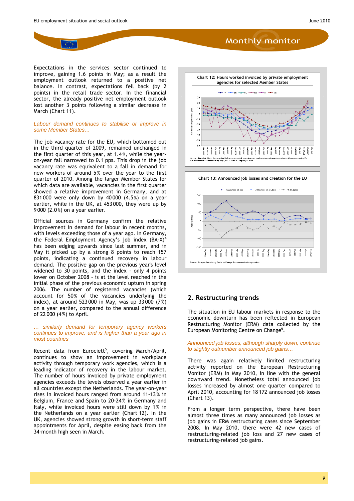Expectations in the services sector continued to improve, gaining 1.6 points in May; as a result the employment outlook returned to a positive net balance. In contrast, expectations fell back (by 2 points) in the retail trade sector. In the financial sector, the already positive net employment outlook lost another 3 points following a similar decrease in March (Chart 11).

#### *Labour demand continues to stabilise or improve in some Member States…*

The job vacancy rate for the EU, which bottomed out in the third quarter of 2009, remained unchanged in the first quarter of this year, at 1.4 %, while the yearon-year fall narrowed to 0.1 pps. This drop in the job vacancy rate was equivalent to a fall in demand for new workers of around 5% over the year to the first quarter of 2010. Among the larger Member States for which data are available, vacancies in the first quarter showed a relative improvement in Germany, and at 831 000 were only down by 40 000 (4.5 %) on a year earlier, while in the UK, at 453 000, they were up by 9 000 (2.0 %) on a year earlier.

Official sources in Germany confirm the relative improvement in demand for labour in recent months, with levels exceeding those of a year ago. In Germany, the Federal Employment Agency's job index  $(BA-X)^4$ has been edging upwards since last summer, and in May it picked up by a strong 8 points to reach 157 points, indicating a continued recovery in labour demand. The positive gap on the previous year's level widened to 30 points, and the index - only 4 points lower on October 2008 - is at the level reached in the initial phase of the previous economic upturn in spring 2006. The number of registered vacancies (which account for 50% of the vacancies underlying the index), at around 523 000 in May, was up 33 000 (7 %) on a year earlier, compared to the annual difference of 22 000 (4 %) to April.

#### <span id="page-8-0"></span>*… similarly demand for temporary agency workers continues to improve, and is higher than a year ago in most countries*

Recent data from Eurociett<sup>5</sup>, covering March/April, continues to show an improvement in workplace activity through temporary work agencies, which is a leading indicator of recovery in the labour market. The number of hours invoiced by private employment agencies exceeds the levels observed a year earlier in all countries except the Netherlands. The year-on-year rises in invoiced hours ranged from around 11-13 % in Belgium, France and Spain to 20-24% in Germany and Italy, while invoiced hours were still down by 1% in the Netherlands on a year earlier (Chart 12). In the UK, agencies showed strong growth in short-term staff appointments for April, despite easing back from the 34-month high seen in March.





#### **2. Restructuring trends**

The situation in EU labour markets in response to the [economic](http://www.eurociett.eu/) downturn has been reflected in European Restructuring Monitor (ERM) data collected by the European Monitoring Centre on Change<sup>6</sup>.

*Announced job losses, although sharply down, continue to slightly outnumber announced job gains…* 

There was again relatively limited restructuring activity reported on the European Restructuring Monitor (ERM) in May 2010, in line with the general downward trend. Nonetheless total announced job losses increased by almost one quarter compared to [April 2010, accounting f](http://www.eurofound.europa.eu/emcc/erm/index.htm)or 18 172 announced job losses (Chart 13).

From a longer term perspective, there have been almost three times as many announced job losses as job gains in ERM restructuring cases since September 2008. In May 2010, there were 42 new cases of restructuring-related job loss and 27 new cases of restructuring-related job gains.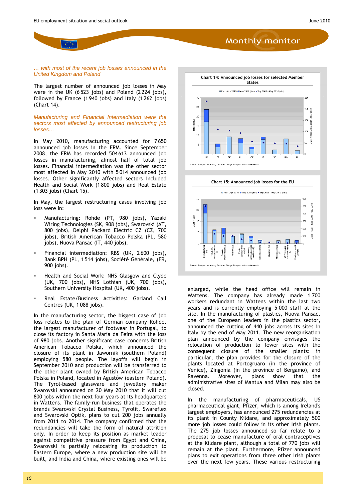#### *… with most of the recent job losses announced in the United Kingdom and Poland*

The largest number of announced job losses in May were in the UK (6 523 jobs) and Poland (2 224 jobs), followed by France (1 940 jobs) and Italy (1 262 jobs) (Chart 14).

*Manufacturing and Financial Intermediation were the sectors most affected by announced restructuring job losses…* 

In May 2010, manufacturing accounted for 7 650 announced job losses in the ERM. Since September 2008, the ERM has recorded 504 613 announced job losses in manufacturing, almost half of total job losses. Financial intermediation was the other sector most affected in May 2010 with 5 014 announced job losses. Other significantly affected sectors included Health and Social Work (1 800 jobs) and Real Estate (1 303 jobs) (Chart 15).

In May, the largest restructuring cases involving job loss were in:

- Manufacturing: Rohde (PT, 980 jobs), Yazaki Wiring Technologies (SK, 908 jobs), Swarovski (AT, 800 jobs), Delphi Packard Electric CZ (CZ, 700 jobs), British American Tobacco Polska (PL, 580 jobs), Nuova Pansac (IT, 440 jobs).
- Financial intermediation: RBS (UK, 2 600 jobs), Bank BPH (PL, 1 514 jobs), Société Générale, (FR, 900 jobs).
- Health and Social Work: NHS Glasgow and Clyde (UK, 700 jobs), NHS Lothian (UK, 700 jobs), Southern University Hospital (UK, 400 jobs).
- Real Estate/Business Activities: Garland Call Centres (UK, 1 088 jobs).

In the manufacturing sector, the biggest case of job loss relates to the plan of German company Rohde, the largest manufacturer of footwear in Portugal, to close its factory in Santa Maria da Feira with the loss of 980 jobs. Another significant case concerns British American Tobacco Polska, which announced the closure of its plant in Jawornik (southern Poland) employing 580 people. The layoffs will begin in September 2010 and production will be transferred to the other plant owned by British American Tobacco Polska in Poland, located in Agustów (eastern Poland). The Tyrol-based glassware and jewellery maker Swarovski announced on 20 May 2010 that it will cut 800 jobs within the next four years at its headquarters in Wattens. The family-run business that operates the brands Swarovski Crystal Business, Tyrolit, Swareflex and Swarovski Optik, plans to cut 200 jobs annually from 2011 to 2014. The company confirmed that the redundancies will take the form of natural attrition only. In order to keep its position as market leader against competitive pressure from Egypt and China, Swarovski is partially relocating its production to Eastern Europe, where a new production site will be built, and India and China, where existing ones will be





enlarged, while the head office will remain in Wattens. The company has already made 1 700 workers redundant in Wattens within the last two years and is currently employing 5 000 staff at the site. In the manufacturing of plastics, Nuova Pansac, one of the European leaders in the plastics sector, announced the cutting of 440 jobs across its sites in Italy by the end of May 2011. The new reorganisation plan announced by the company envisages the relocation of production to fewer sites with the consequent closure of the smaller plants: in particular, the plan provides for the closure of the plants located at Portogruaro (in the province of Venice), Zingonia (in the province of Bergamo), and Ravenna. Moreover, plans show that the administrative sites of Mantua and Milan may also be closed.

In the manufacturing of pharmaceuticals, US pharmaceutical giant, Pfizer, which is among Ireland's largest employers, has announced 275 redundancies at its plant in County Kildare, and approximately 500 more job losses could follow in its other Irish plants. The 275 job losses announced so far relate to a proposal to cease manufacture of oral contraceptives at the Kildare plant, although a total of 770 jobs will remain at the plant. Furthermore, Pfizer announced plans to exit operations from three other Irish plants over the next few years. These various restructuring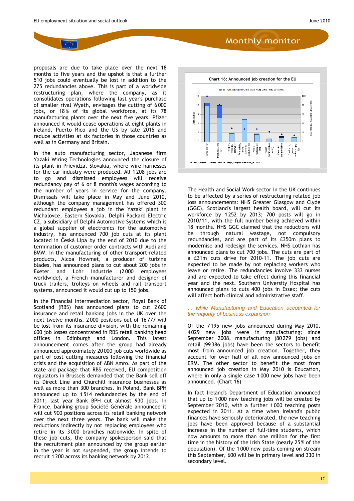proposals are due to take place over the next 18 months to five years and the upshot is that a further 510 jobs could eventually be lost in addition to the 275 redundancies above. This is part of a worldwide restructuring plan, where the company, as it consolidates operations following last year's purchase of smaller rival Wyeth, envisages the cutting of 6 000 jobs, or 18% of its global workforce, at its 78 manufacturing plants over the next five years. Pfizer announced it would cease operations at eight plants in Ireland, Puerto Rico and the US by late 2015 and reduce activities at six factories in those countries as well as in Germany and Britain.

In the auto manufacturing sector, Japanese firm Yazaki Wiring Technologies announced the closure of its plant in Prievidza, Slovakia, where wire harnesses for the car industry were produced. All 1 208 jobs are to go and dismissed employees will receive redundancy pay of 6 or 8 month's wages according to the number of years in service for the company. Dismissals will take place in May and June 2010, although the company management has offered 300 redundant employees a job in the Yazaki plant in Michalovce, Eastern Slovakia. Delphi Packard Electric CZ, a subsidiary of Delphi Automotive Systems which is a global supplier of electronics for the automotive industry, has announced 700 job cuts at its plant located in Česká Lípa by the end of 2010 due to the termination of customer order contracts with Audi and BMW. In the manufacturing of other transport-related products, Alcoa Howmet, a producer of turbine blades, has announced plans to cut about 200 jobs in Exeter and Lohr Industrie (2 000 employees worldwide), a French manufacturer and designer of truck trailers, trolleys on wheels and rail transport systems, announced it would cut up to 150 jobs.

In the Financial Intermediation sector, Royal Bank of Scotland (RBS) has announced plans to cut 2 600 insurance and retail banking jobs in the UK over the next twelve months. 2 000 positions out of 16 777 will be lost from its insurance division, with the remaining 600 job losses concentrated in RBS retail banking head offices in Edinburgh and London. This latest announcement comes after the group had already announced approximately 20 000 job cuts worldwide as part of cost cutting measures following the financial crisis and the acquisition of ABN Amro. As part of the state aid package that RBS received, EU competition regulators in Brussels demanded that the Bank sell off its Direct Line and Churchill insurance businesses as well as more than 300 branches. In Poland, Bank BPH announced up to 1 514 redundancies by the end of 2011; last year Bank BPH cut almost 930 jobs. In France, banking group Société Générale announced it will cut 900 positions across its retail banking network over the next three years. The bank will make the reductions indirectly by not replacing employees who retire in its 3 000 branches nationwide. In spite of these job cuts, the company spokesperson said that the recruitment plan announced by the group earlier in the year is not suspended, the group intends to recruit 1 200 across its banking network by 2012.



The Health and Social Work sector in the UK continues to be affected by a series of restructuring related job loss announcements: NHS Greater Glasgow and Clyde (GGC), Scotland's largest health board, will cut its workforce by 1 252 by 2013; 700 posts will go in 2010/11, with the full number being achieved within 18 months. NHS GGC claimed that the reductions will be through natural wastage, not compulsory redundancies, and are part of its £350m plans to modernise and redesign the services. NHS Lothian has announced plans to cut 700 jobs. The cuts are part of a £31m cuts drive for 2010-11. The job cuts are expected to be made by not replacing workers who leave or retire. The redundancies involve 333 nurses and are expected to take effect during this financial year and the next. Southern University Hospital has announced plans to cuts 400 jobs in Essex; the cuts will affect both clinical and administrative staff.

#### *… while Manufacturing and Education accounted for the majority of business expansion*

Of the 7 195 new jobs announced during May 2010, 4 029 new jobs were in manufacturing; since September 2008, manufacturing (80 279 jobs) and retail (99 386 jobs) have been the sectors to benefit most from announced job creation. Together, they account for over half of all new announced jobs on ERM. The other sector to benefit the most from announced job creation in May 2010 is Education, where in only a single case 1 000 new jobs have been announced. (Chart 16)

In fact Ireland's Department of Education announced that up to 1 000 new teaching jobs will be created by September 2010, with a further 1 000 teaching posts expected in 2011. At a time when Ireland's public finances have seriously deteriorated, the new teaching jobs have been approved because of a substantial increase in the number of full-time students, which now amounts to more than one million for the first time in the history of the Irish State (nearly 25% of the population). Of the 1 000 new posts coming on stream this September, 600 will be in primary level and 330 in secondary level.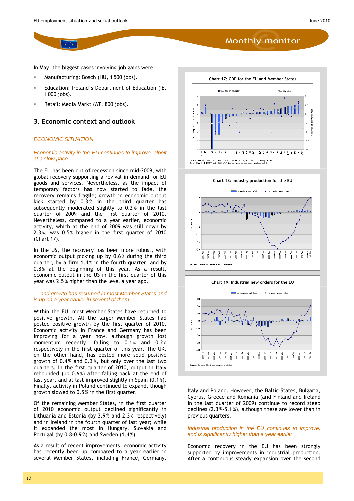In May, the biggest cases involving job gains were:

- Manufacturing: Bosch (HU, 1 500 jobs).
- Education: Ireland's Department of Education (IE, 1 000 jobs).
- Retail: Media Markt (AT, 800 jobs).

#### <span id="page-11-0"></span>**3. Economic context and outlook**

#### *ECONOMIC SITUATION*

#### *Economic activity in the EU continues to improve, albeit at a slow pace…*

The EU has been out of recession since mid-2009, with global recovery supporting a revival in demand for EU goods and services. Nevertheless, as the impact of temporary factors has now started to fade, the recovery remains fragile; growth in economic output kick started by 0.3% in the third quarter has subsequently moderated slightly to 0.2 % in the last quarter of 2009 and the first quarter of 2010. Nevertheless, compared to a year earlier, economic activity, which at the end of 2009 was still down by 2.3 %, was 0.5% higher in the first quarter of 2010 (Chart 17).

In the US, the recovery has been more robust, with economic output picking up by 0.6 % during the third quarter, by a firm 1.4% in the fourth quarter, and by 0.8% at the beginning of this year. As a result, economic output in the US in the first quarter of this year was 2.5 % higher than the level a year ago.

#### *… and growth has resumed in most Member States and is up on a year earlier in several of them*

Within the EU, most Member States have returned to positive growth. All the larger Member States had posted positive growth by the first quarter of 2010. Economic activity in France and Germany has been improving for a year now, although growth lost momentum recently, falling to  $0.1\%$  and  $0.2\%$ respectively in the first quarter of this year. The UK, on the other hand, has posted more solid positive growth of 0.4 % and 0.3 %, but only over the last two quarters. In the first quarter of 2010, output in Italy rebounded (up 0.6 %) after falling back at the end of last year, and at last improved slightly in Spain (0.1 %). Finally, activity in Poland continued to expand, though growth slowed to 0.5 % in the first quarter.

Of the remaining Member States, in the first quarter of 2010 economic output declined significantly in Lithuania and Estonia (by 3.9% and 2.3% respectively) and in Ireland in the fourth quarter of last year; while it expanded the most in Hungary, Slovakia and Portugal (by 0.8-0.9 %) and Sweden (1.4 %).

As a result of recent improvements, economic activity has recently been up compared to a year earlier in several Member States, including France, Germany,







Italy and Poland. However, the Baltic States, Bulgaria, Cyprus, Greece and Romania (and Finland and Ireland in the last quarter of 2009) continue to record steep declines (2.3 %-5.1 %), although these are lower than in previous quarters.

#### *Industrial production in the EU continues to improve, and is significantly higher than a year earlier*

Economic recovery in the EU has been strongly supported by improvements in industrial production. After a continuous steady expansion over the second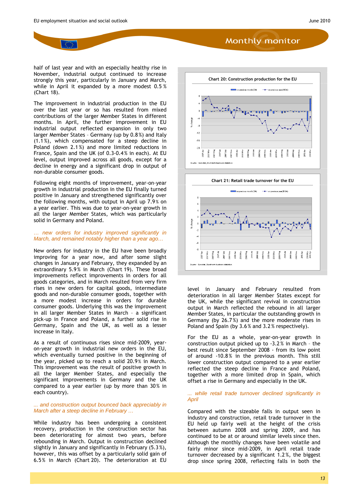half of last year and with an especially healthy rise in November, industrial output continued to increase strongly this year, particularly in January and March, while in April it expanded by a more modest 0.5 % (Chart 18).

The improvement in industrial production in the EU over the last year or so has resulted from mixed contributions of the larger Member States in different months. In April, the further improvement in EU industrial output reflected expansion in only two larger Member States – Germany (up by 0.8%) and Italy (1.1 %), which compensated for a steep decline in Poland (down 2.1 %) and more limited reductions in France, Spain and the UK (of 0.3-0.4 % in each). At EU level, output improved across all goods, except for a decline in energy and a significant drop in output of non-durable consumer goods.

Following eight months of improvement, year-on-year growth in industrial production in the EU finally turned positive in January and strengthened significantly over the following months, with output in April up 7.9 % on a year earlier. This was due to year-on-year growth in all the larger Member States, which was particularly solid in Germany and Poland.

#### *… new orders for industry improved significantly in March, and remained notably higher than a year ago…*

New orders for industry in the EU have been broadly improving for a year now, and after some slight changes in January and February, they expanded by an extraordinary 5.9% in March (Chart 19). These broad improvements reflect improvements in orders for all goods categories, and in March resulted from very firm rises in new orders for capital goods, intermediate goods and non-durable consumer goods, together with a more modest increase in orders for durable consumer goods. Underlying this was the improvement in all larger Member States in March – a significant pick-up in France and Poland, a further solid rise in Germany, Spain and the UK, as well as a lesser increase in Italy.

As a result of continuous rises since mid-2009, yearon-year growth in industrial new orders in the EU, which eventually turned positive in the beginning of the year, picked up to reach a solid 20.9% in March. This improvement was the result of positive growth in all the larger Member States, and especially the significant improvements in Germany and the UK compared to a year earlier (up by more than 30% in each country).

#### *... and construction output bounced back appreciably in March after a steep decline in February …*

While industry has been undergoing a consistent recovery, production in the construction sector has been deteriorating for almost two years, before rebounding in March. Output in construction declined slightly in January and significantly in February (5.3 %), however, this was offset by a particularly solid gain of 6.5 % in March (Chart 20). The deterioration at EU





level in January and February resulted from deterioration in all larger Member States except for the UK, while the significant revival in construction output in March reflected the rebound in all larger Member States, in particular the outstanding growth in Germany (by 26.7 %) and the more moderate rises in Poland and Spain (by 3.6 % and 3.2 % respectively).

For the EU as a whole, year-on-year growth in construction output picked up to -3.2 % in March – the best result since September 2008 - from its low point of around -10.8% in the previous month. This still lower construction output compared to a year earlier reflected the steep decline in France and Poland, together with a more limited drop in Spain, which offset a rise in Germany and especially in the UK.

#### *... while retail trade turnover declined significantly in April*

Compared with the sizeable falls in output seen in industry and construction, retail trade turnover in the EU held up fairly well at the height of the crisis between autumn 2008 and spring 2009, and has continued to be at or around similar levels since then. Although the monthly changes have been volatile and fairly minor since mid-2009, in April retail trade turnover decreased by a significant 1.2 %, the biggest drop since spring 2008, reflecting falls in both the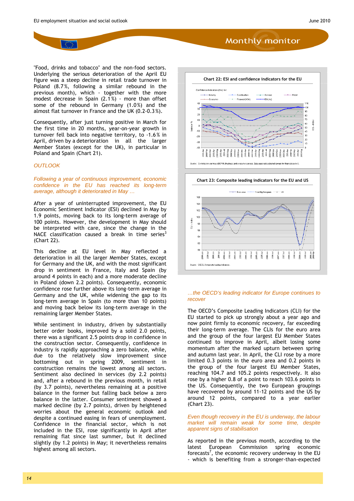"Food, drinks and tobacco" and the non-food sectors. Underlying the serious deterioration of the April EU figure was a steep decline in retail trade turnover in Poland (8.7 %, following a similar rebound in the previous month), which - together with the more modest decrease in Spain (2.1 %) - more than offset some of the rebound in Germany (1.0%) and the almost flat turnover in France and the UK (0.2-0.3 %).

Consequently, after just turning positive in March for the first time in 20 months, year-on-year growth in turnover fell back into negative territory, to -1.6 % in April, driven by a deterioration in all the larger Member States (except for the UK), in particular in Poland and Spain (Chart 21).

#### *OUTLOOK*

*Following a year of continuous improvement, economic confidence in the EU has reached its long-term average, although it deteriorated in May …* 

After a year of uninterrupted improvement, the EU Economic Sentiment Indicator (ESI) declined in May by 1.9 points, moving back to its long-term average of 100 points. However, the development in May should be interpreted with care, since the change in the NACE classification caused a break in time series $3$ (Chart 22).

This decline at EU level in May reflected a deterioration in all the larger Member States, except for Germany and the UK, and with the most significant drop in sentiment in France, Italy and Spain (by around 4 points in each) and a more moderate decline in Poland (down 2.2 points). Consequently, economic confidence rose further above its long-term average in Germany and the UK, while widening the gap to its long-term average in Spain (to more than 10 points) and moving back below its long-term average in the remaining larger Member States.

While sentiment in industry, driven by substantially better order books, improved by a solid 2.0 points, there was a significant 2.5 points drop in confidence in the construction sector. Consequently, confidence in industry is rapidly approaching a zero balance, while, due to the relatively slow improvement since bottoming out in spring 2009, sentiment in construction remains the lowest among all sectors. Sentiment also declined in services (by 2.2 points) and, after a rebound in the previous month, in retail (by 3.7 points), nevertheless remaining at a positive balance in the former but falling back below a zero balance in the latter. Consumer sentiment showed a marked decline (by 2.7 points), driven by heightened [worries about the general economic outlook and](http://ec.europa.eu/economy_finance/publications/european_economy/2010/ee2_en.htm)  despite a continued easing in fears of unemployment. Confidence in the financial sector, which is not included in the ESI, rose significantly in April after remaining flat since last summer, but it declined slightly (by 1.2 points) in May; it nevertheless remains highest among all sectors.





#### *…the OECD's leading indicator for Europe continues to recover*

The OECD's Composite Leading Indicators (CLI) for the EU started to pick up strongly about a year ago and now point firmly to economic recovery, far exceeding their long-term average. The CLIs for the euro area and the group of the four largest EU Member States continued to improve in April, albeit losing some momentum after the marked upturn between spring and autumn last year. In April, the CLI rose by a more limited 0.3 points in the euro area and 0.2 points in the group of the four largest EU Member States, reaching 104.7 and 105.2 points respectively. It also rose by a higher 0.8 of a point to reach 103.6 points in the US. Consequently, the two European groupings have recovered by around 11-12 points and the US by around 12 points, compared to a year earlier (Chart 23).

#### *Even though recovery in the EU is underway, the labour market will remain weak for some time, despite apparent signs of stabilisation*

As reported in the previous month, according to the latest European Commission spring economic forecasts<sup>7</sup>, the economic recovery underway in the EU - which is benefiting from a stronger-than-expected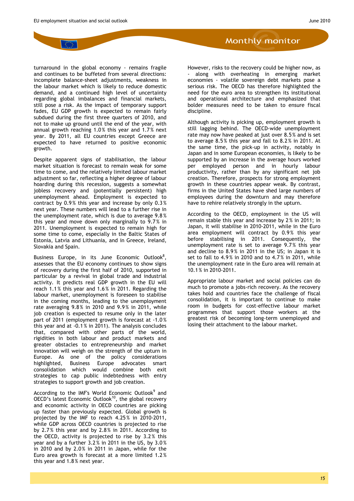turnaround in the global economy - remains fragile and continues to be buffeted from several directions: incomplete balance-sheet adjustments, weakness in the labour market which is likely to reduce domestic demand, and a continued high level of uncertainty regarding global imbalances and financial markets, still pose a risk. As the impact of temporary support fades, EU GDP growth is expected to remain fairly subdued during the first three quarters of 2010, and not to make up ground until the end of the year, with annual growth reaching 1.0 % this year and 1.7 % next year. By 2011, all EU countries except Greece are expected to have returned to positive economic growth.

Despite apparent signs of stabilisation, the labour market situation is forecast to remain weak for some time to come, and the relatively limited labour market adjustment so far, reflecting a higher degree of labour hoarding during this recession, suggests a somewhat jobless recovery and (potentially persistent) high unemployment ahead. Employment is expected to contract by 0.9 % this year and increase by only 0.3 % next year. These numbers will lead to a further rise in the unemployment rate, which is due to average 9.8 % this year and move down only marginally to 9.7% in 2011. Unemployment is expected to remain high for some time to come, especially in the Baltic States of Estonia, Latvia and Lithuania, and in Greece, Ireland, Slovakia and Spain.

Business Europe, in its June Economic Outlook<sup>8</sup>, assesses that the EU economy continues to show signs of recovery during the first half of 2010, supported in particular by a revival in global trade and industrial activity. It predicts real GDP growth in the EU will reach 1.1 % this year and 1.6 % in 2011. Regarding the labour market, unemployment is foreseen to stabilise in the coming months, leading to the unemployment rate averaging 9.8 % in 2010 and 9.9 % in 2011, while job creation is expected to resume only in the later part of 2011 (employment growth is forecast at -1.0 % this year and at -0.1 % in 2011). The analysis concludes that, compared with other parts of the world, rigidities in both labour and product markets and greater obstacles to entrepreneurship and market innovation will weigh on the strength of the upturn in Europe. As one of the policy considerations highlighted, Business Europe advocates smart consolidation which would combine both exit strategies to cap public indebtedness with entry strategies to support growth and job creation.

According to the IMF's World Economic Outlook<sup>9</sup> and OECD's latest Economic Outlook<sup>10</sup>, the global recovery and economic activity in OECD countries are picking up faster than previously expected. Global growth is projected by the IMF to reach 4.25 % in 2010-2011, [while GDP across OECD countries is projected to rise](http://www.businesseurope.eu/content/default.asp?PageID=568&DocID=26626)  by 2.7 % this year and by 2.8 % in 2011. According to the OECD, activity is projected to rise by 3.2 % this year and by a further 3.2 [% in 2011 in the US, by 3.0](http://www.imf.org/external/pubs/ft/weo/2010/01/index.htm) % in 2010 and by  $2.0\%$  in 2011 in Japan, while for the [Euro area growth is forecast at a more limited 1.2](http://www.oecd.org/document/9/0,3343,en_2649_201185_45303817_1_1_1_1,00.html) % this year and 1.8 % next year.

However, risks to the recovery could be higher now, as - along with overheating in emerging market economies - volatile sovereign debt markets pose a serious risk. The OECD has therefore highlighted the need for the euro area to strengthen its institutional and operational architecture and emphasized that bolder measures need to be taken to ensure fiscal discipline.

Although activity is picking up, employment growth is still lagging behind. The OECD-wide unemployment rate may now have peaked at just over 8.5 % and is set to average 8.5 % this year and fall to 8.2 % in 2011. At the same time, the pick-up in activity, notably in Japan and in some European economies, is likely to be supported by an increase in the average hours worked per employed person and in hourly labour productivity, rather than by any significant net job creation. Therefore, prospects for strong employment growth in these countries appear weak. By contrast, firms in the United States have shed large numbers of employees during the downturn and may therefore have to rehire relatively strongly in the upturn.

According to the OECD, employment in the US will remain stable this year and increase by 2 % in 2011; in Japan, it will stabilise in 2010-2011, while in the Euro area employment will contract by 0.9% this year before stabilising in 2011. Consequently, the unemployment rate is set to average 9.7 % this year and decline to 8.9% in 2011 in the US; in Japan it is set to fall to 4.9 % in 2010 and to 4.7 % in 2011, while the unemployment rate in the Euro area will remain at 10.1 % in 2010-2011.

Appropriate labour market and social policies can do much to promote a jobs-rich recovery. As the recovery takes hold and countries face the challenge of fiscal consolidation, it is important to continue to make room in budgets for cost-effective labour market programmes that support those workers at the greatest risk of becoming long-term unemployed and losing their attachment to the labour market.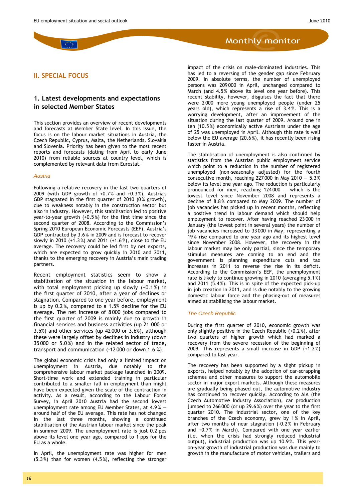# <span id="page-15-0"></span>**II. SPECIAL FOCUS**

#### <span id="page-15-1"></span>**1. Latest developments and expectations in selected Member States**

This section provides an overview of recent developments and forecasts at Member State level. In this issue, the focus is on the labour market situations in Austria, the Czech Republic, Cyprus, Malta, the Netherlands, Slovakia and Slovenia. Priority has been given to the most recent reports and forecasts (dating from April to early June 2010) from reliable sources at country level, which is complemented by relevant data from Eurostat.

#### *Austria*

Following a relative recovery in the last two quarters of 2009 (with GDP growth of +0.7% and +0.3%), Austria's GDP stagnated in the first quarter of 2010 (0% growth), due to weakness notably in the construction sector but also in industry. However, this stabilisation led to positive year-to-year growth (+0.5%) for the first time since the second quarter of 2008. According to the Commission's Spring 2010 European Economic Forecasts (EEF), Austria's GDP contracted by 3.6 % in 2009 and is forecast to recover slowly in 2010 (+1.3 %) and 2011 (+1.6 %), close to the EU average. The recovery could be led first by net exports, which are expected to grow quickly in 2010 and 2011, thanks to the emerging recovery in Austria's main trading partners.

Recent employment statistics seem to show a stabilisation of the situation in the labour market, with total employment picking up slowly (+0.1%) in the first quarter of 2010, after a year of declines or stagnation. Compared to one year before, employment is up by 0.2 %, compared to a 1.5% decline for the EU average. The net increase of 8 000 jobs compared to the first quarter of 2009 is mainly due to growth in financial services and business activities (up 21 000 or 3.5%) and other services (up 42 000 or 3.6%), although these were largely offset by declines in industry (down 35 000 or 5.0%) and in the related sector of trade, transport and communication (-12 000 or down 1.6 %).

The global economic crisis had only a limited impact on unemployment in Austria, due notably to the comprehensive labour market package launched in 2009. Short-time work and extended training in particular contributed to a smaller fall in employment than might have been expected given the scale of the contraction in activity. As a result, according to the Labour Force Survey, in April 2010 Austria had the second lowest unemployment rate among EU Member States, at 4.9% around half of the EU average. This rate has not changed in the last three months, showing a continued stabilisation of the Austrian labour market since the peak in summer 2009. The unemployment rate is just 0.2 pps above its level one year ago, compared to 1 pps for the EU as a whole.

In April, the unemployment rate was higher for men (5.3%) than for women (4.5%), reflecting the stronger **Monthly monitor** 

impact of the crisis on male-dominated industries. This has led to a reversing of the gender gap since February 2009. In absolute terms, the number of unemployed persons was 209 000 in April, unchanged compared to March (and 4.5% above its level one year before). This recent stability, however, disguises the fact that there were 2 000 more young unemployed people (under 25 years old), which represents a rise of 3.4%. This is a worrying development, after an improvement of the situation during the last quarter of 2009. Around one in ten (10.5%) economically active Austrians under the age of 25 was unemployed in April. Although this rate is well below the EU average (20.6 %), it has recently been rising faster in Austria.

The stabilisation of unemployment is also confirmed by statistics from the Austrian public employment service which point to a reduction in the number of registered unemployed (non-seasonally adjusted) for the fourth consecutive month, reaching  $227000$  in May  $2010 - 5.3\%$ below its level one year ago. The reduction is particularly pronounced for men, reaching 124 000 — which is the lowest level since November 2008 and represents a decline of 8.8% compared to May 2009. The number of job vacancies has picked up in recent months, reflecting a positive trend in labour demand which should help employment to recover. After having reached 23 000 in January (the lowest point in several years) the number of job vacancies increased to 33 000 in May, representing a 19% rise compared to one year ago and its highest level since November 2008. However, the recovery in the labour market may be only partial, since the temporary stimulus measures are coming to an end and the government is planning expenditure cuts and tax increases in 2011 to reverse the rise in its deficit. According to the Commission's EEF, the unemployment rate is likely to continue growing in 2010 (averaging 5.1 %) and 2011 (5.4%). This is in spite of the expected pick-up in job creation in 2011, and is due notably to the growing domestic labour force and the phasing-out of measures aimed at stabilising the labour market.

#### *The Czech Republic*

During the first quarter of 2010, economic growth was only slightly positive in the Czech Republic  $(+0.2\%)$ , after two quarters of higher growth which had marked a recovery from the severe recession of the beginning of 2009. This represents a small increase in GDP (+1.2 %) compared to last year.

The recovery has been supported by a slight pickup in exports, helped notably by the adoption of car-scrapping schemes and other measures to support the automobile sector in major export markets. Although these measures are gradually being phased out, the automotive industry has continued to recover quickly. According to AIA (the Czech Automotive Industry Association), car production jumped to 266 000 (or up 29.6 %) over the year to the first quarter 2010. The industrial sector, one of the key branches of the Czech economy, grew by 1% in April, after two months of near stagnation (-0.2 % in February and +0.7% in March). Compared with one year earlier (i.e. when the crisis had strongly reduced industrial output), industrial production was up 10.9%. This yearon-year growth of industrial production was due mainly to growth in the manufacture of motor vehicles, trailers and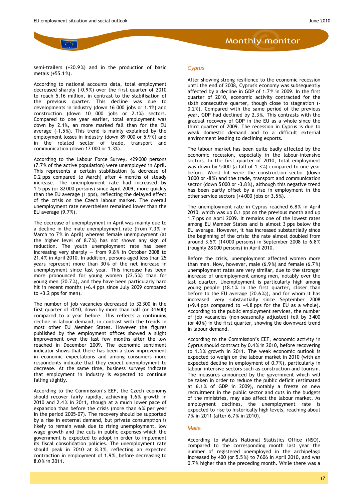semi-trailers (+20.9%) and in the production of basic metals (+55.1%).

According to national accounts data, total employment decreased sharply (-0.9%) over the first quarter of 2010 to reach 5.16 million, in contrast to the stabilisation of the previous quarter. This decline was due to developments in industry (down 16 000 jobs or 1.1%) and construction (down 10 000 jobs or 2.1%) sectors. Compared to one year earlier, total employment was down by 2.1%, an more marked fall than for the EU average (-1.5 %). This trend is mainly explained by the employment losses in industry (down 89 000 or 5.9%) and in the related sector of trade, transport and communication (down 17 000 or 1.3%).

According to the Labour Force Survey, 429 000 persons (7.7% of the active population) were unemployed in April. This represents a certain stabilisation (a decrease of 0.2 pps compared to March) after 4 months of steady increase. The unemployment rate had increased by 1.5 pps (or 82 000 persons) since April 2009, more quickly than the EU average (1 pps), reflecting the delayed effect of the crisis on the Czech labour market. The overall unemployment rate nevertheless remained lower than the EU average (9.7%).

The decrease of unemployment in April was mainly due to a decline in the male unemployment rate (from 7.3% in March to 7% in April) whereas female unemployment (at the higher level of 8.7%) has not shown any sign of reduction. The youth unemployment rate has been increasing very sharply — from 9.8% in October 2008 to 21.4% in April 2010. In addition, persons aged less than 25 years represent more than 30% of the net increase in unemployment since last year. This increase has been more pronounced for young women (22.5%) than for young men (20.7%), and they have been particularly hard hit in recent months (+6.4 pps since July 2009 compared to  $+3.2$  pps for men).

The number of job vacancies decreased to 32 300 in the first quarter of 2010, down by more than half (or 34 600) compared to a year before. This reflects a continuing decline in labour demand, in contrast with the trends in most other EU Member States. However the figures published by the employment offices showed a slight improvement over the last few months after the low reached in December 2009. The economic sentiment indicator shows that there has been a slow improvement in economic expectations and among consumers more respondents indicate that they expect unemployment to decrease. At the same time, business surveys indicate that employment in industry is expected to continue falling slightly.

According to the Commission's EEF, the Czech economy should recover fairly rapidly, achieving 1.6 % growth in 2010 and 2.4% in 2011, though at a much lower pace of expansion than before the crisis (more than 6% per year in the period 2005-07). The recovery should be supported by a rise in external demand, but private consumption is likely to remain weak due to rising unemployment, low wage growth and the cuts in public expenses which the government is expected to adopt in order to implement its fiscal consolidation policies. The unemployment rate should peak in 2010 at 8.3 %, reflecting an expected contraction in employment of 1.9%, before decreasing to 8.0% in 2011.

#### *Cyprus*

After showing strong resilience to the economic recession until the end of 2008, Cyprus's economy was subsequently affected by a decline in GDP of 1.7% in 2009. In the first quarter of 2010, economic activity contracted for the sixth consecutive quarter, though close to stagnation (- 0.2%). Compared with the same period of the previous year, GDP had declined by 2.3 %. This contrasts with the gradual recovery of GDP in the EU as a whole since the third quarter of 2009. The recession in Cyprus is due to weak domestic demand and to a difficult external environment leading to declining exports.

The labour market has been quite badly affected by the economic recession, especially in the labour–intensive sectors. In the first quarter of 2010, total employment was down by 5 000 (a fall of 1.3%) compared to one year before. Worst hit were the construction sector (down 3 000 or -8 %) and the trade, transport and communication sector (down 5 000 or -3.8%), although this negative trend has been partly offset by a rise in employment in the other service sectors (+4 000 jobs or 3.5%).

The unemployment rate in Cyprus reached 6.8% in April 2010, which was up 0.1 pps on the previous month and up 1.7 pps on April 2009. It remains one of the lowest rates among EU Member States and is almost 3 pps below the EU average. However, it has increased substantially since the beginning of the crisis: the rate almost doubled from around 3.5% (14 000 persons) in September 2008 to 6.8 % (roughly 28 000 persons) in April 2010.

Before the crisis, unemployment affected women more than men. Now, however, male (6.9 %) and female (6.7 %) unemployment rates are very similar, due to the stronger increase of unemployment among men, notably over the last quarter. Unemployment is particularly high among young people (18.1% in the first quarter, closer than before to the EU average (20.6 %)), and for whom it has increased very substantially since September 2008 (+9.4 pps compared to +4.8 pps for the EU as a whole). According to the public employment services, the number of job vacancies (non-seasonally adjusted) fell by 3 400 (or 40%) in the first quarter, showing the downward trend in labour demand.

According to the Commission's EEF, economic activity in Cyprus should contract by 0.4% in 2010, before recovering to 1.3% growth in 2011. The weak economic outlook is expected to weigh on the labour market in 2010 (with an expected decline in employment of 0.7%), particularly in labour-intensive sectors such as construction and tourism. The measures announced by the government which will be taken in order to reduce the public deficit (estimated at 6.1% of GDP in 2009), notably a freeze on new recruitment in the public sector and cuts in the budgets of the ministries, may also affect the labour market. As employment declines, the unemployment rate is expected to rise to historically high levels, reaching about 7% in 2011 (after 6.7% in 2010).

#### *Malta*

According to Malta's National Statistics Office (NSO), compared to the corresponding month last year the number of registered unemployed in the archipelago increased by 400 (or 5.5 %) to 7 606 in April 2010, and was 0.7% higher than the preceding month. While there was a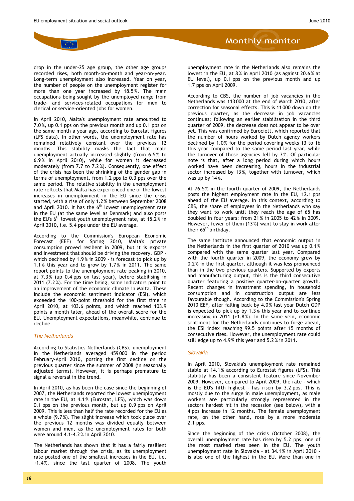

drop in the under-25 age group, the other age groups recorded rises, both month-on-month and year-on-year. Long-term unemployment also increased. Year on year, the number of people on the unemployment register for more than one year increased by 18.5%. The main occupations being sought by the unemployed range from trade- and services-related occupations for men to clerical or service-oriented jobs for women.

In April 2010, Malta's unemployment rate amounted to 7.0%, up 0.1 pps on the previous month and up 0.1 pps on the same month a year ago, according to Eurostat figures (LFS data). In other words, the unemployment rate has remained relatively constant over the previous 12 months. This stability masks the fact that male unemployment actually increased slightly (from 6.5 % to 6.9% in April 2010), while for women it decreased moderately (from 7.7 to 7.2 %). Consequently, one effect of the crisis has been the shrinking of the gender gap in terms of unemployment, from 1.2 pps to 0.3 pps over the same period. The relative stability in the unemployment rate reflects that Malta has experienced one of the lowest increases in unemployment in the EU since the crisis started, with a rise of only 1.2 % between September 2008 and April 2010. It has the  $6<sup>th</sup>$  lowest unemployment rate in the EU (at the same level as Denmark) and also posts the EU's  $6^{th}$  lowest youth unemployment rate, at 15.2% in April 2010, i.e. 5.4 pps under the EU average.

According to the Commission's European Economic Forecast (EEF) for Spring 2010, Malta's private consumption proved resilient in 2009, but it is exports and investment that should be driving the recovery. GDP which declined by 1.9% in 2009 - is forecast to pick up by 1.1% this year and to grow by 1.7 % in 2011. The same report points to the unemployment rate peaking in 2010, at 7.3% (up 0.4 pps on last year), before stabilising in 2011 (7.2%). For the time being, some indicators point to an improvement of the economic climate in Malta. These include the economic sentiment indicator (ESI), which exceeded the 100-point threshold for the first time in April 2010, at 103.6 points, and which reached 103.9 points a month later, ahead of the overall score for the EU. Unemployment expectations, meanwhile, continue to decline.

#### *The Netherlands*

According to Statistics Netherlands (CBS), unemployment in the Netherlands averaged 459 000 in the period February-April 2010, posting the first decline on the previous quarter since the summer of 2008 (in seasonally adjusted terms). However, it is perhaps premature to signal a reversal in the trend.

In April 2010, as has been the case since the beginning of 2007, the Netherlands reported the lowest unemployment rate in the EU, at 4.1 % (Eurostat, LFS), which was down 0.1 pps on the previous month, but up 0.9 pps on April 2009. This is less than half the rate recorded for the EU as a whole (9.7%). The slight increase which took place over the previous 12 months was divided equally between women and men, as the unemployment rates for both were around 4.1-4.2% in April 2010.

The Netherlands has shown that it has a fairly resilient labour market through the crisis, as its unemployment rate posted one of the smallest increases in the EU, i.e. +1.4%, since the last quarter of 2008. The youth unemployment rate in the Netherlands also remains the lowest in the EU, at 8% in April 2010 (as against 20.6 % at

**Monthly monitor** 

EU level), up 0.1 pps on the previous month and up

1.7 pps on April 2009.

According to CBS, the number of job vacancies in the Netherlands was 113 000 at the end of March 2010, after correction for seasonal effects. This is 11 000 down on the previous quarter, as the decrease in job vacancies continues; following an earlier stabilisation in the third quarter of 2009, the decrease does not appear to be over yet. This was confirmed by Eurociett, which reported that the number of hours worked by Dutch agency workers declined by 1.0% for the period covering weeks 13 to 16 this year compared to the same period last year, while the turnover of those agencies fell by 3 %. Of particular note is that, after a long period during which hours worked have been decreasing, hours in the industrial sector increased by 13 %, together with turnover, which was up by 14%.

At 76.5% in the fourth quarter of 2009, the Netherlands posts the highest employment rate in the EU, 12.1 pps ahead of the EU average. In this context, according to CBS, the share of employees in the Netherlands who say they want to work until they reach the age of 65 has doubled in four years: from 21 % in 2005 to 42% in 2009. However, fewer of them (13%) want to stay in work after their 65<sup>th</sup> birthday.

The same institute announced that economic output in the Netherlands in the first quarter of 2010 was up 0.1 % compared with the same quarter last year. Compared with the fourth quarter in 2009, the economy grew by 0.2% in the first quarter, although it was less pronounced than in the two previous quarters. Supported by exports and manufacturing output, this is the third consecutive quarter featuring a positive quarter-on-quarter growth. Recent changes in investment spending, in household consumption and in construction output are less favourable though. According to the Commission's Spring 2010 EEF, after falling back by 4.0% last year Dutch GDP is expected to pick up by 1.3 % this year and to continue increasing in 2011 (+1.8 %). In the same vein, economic sentiment for the Netherlands continues to forge ahead, the ESI index reaching 99.5 points after 15 months of consecutive rises. However, the unemployment rate could still edge up to 4.9% this year and 5.2% in 2011.

#### *Slovakia*

In April 2010, Slovakia's unemployment rate remained stable at 14.1% according to Eurostat figures (LFS). This stability has been a consistent feature since November 2009. However, compared to April 2009, the rate - which is the EU's fifth highest - has risen by 3.2 pps. This is mostly due to the surge in male unemployment, as male workers are particularly strongly represented in the sectors hardest hit in the recession (see below), with a 4 pps increase in 12 months. The female unemployment rate, on the other hand, rose by a more moderate 2.1 pps.

Since the beginning of the crisis (October 2008), the overall unemployment rate has risen by 5.2 pps, one of the most marked rises seen in the EU. The youth unemployment rate in Slovakia - at 34.1 % in April 2010 is also one of the highest in the EU. More than one in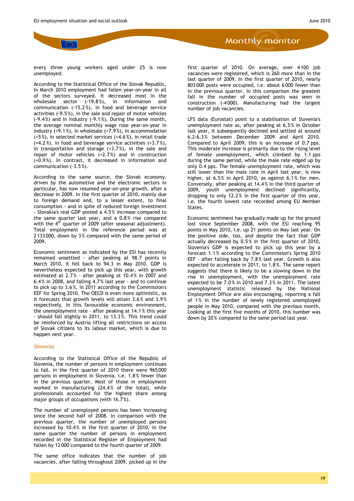every three young workers aged under 25 is now unemployed.

According to the Statistical Office of the Slovak Republic, In March 2010 employment had fallen year-on-year in all of the sectors surveyed. It decreased most in the wholesale sector (-19.8%), in information and communication (-15.2 %), in food and beverage service activities (-9.5 %), in the sale and repair of motor vehicles (-9.4%) and in industry (-9.1 %). During the same month, the average nominal monthly wage rose year-on-year in industry (+9.1%), in wholesale (+7.9 %), in accommodation (+5%), in selected market services (+4.6 %), in retail trade (+4.2%), in food and beverage service activities (+3.7 %), in transportation and storage (+3.7 %), in the sale and repair of motor vehicles (+2.7%) and in construction (+0.9%). In contrast, it decreased in information and communication (-3.5 %).

According to the same source, the Slovak economy, driven by the automotive and the electronic sectors in particular, has now resumed year-on-year growth, after a decrease in 2009. In the first quarter of 2010, mainly due to foreign demand and, to a lesser extent, to final consumption - and in spite of reduced foreign investment - Slovakia's real GDP posted a 4.5% increase compared to the same quarter last year, and a 0.8% rise compared with the  $4<sup>th</sup>$  quarter of 2009 (after seasonal adjustment). Total employment in the reference period was at 2 133 000, down by 3% compared with the same period of 2009.

Economic sentiment as indicated by the ESI has recently remained unsettled - after peaking at 98.7 points in March 2010, it fell back to 94.3 in May 2010. GDP is nevertheless expected to pick up this year, with growth estimated at 2.7 % - after peaking at 10.4 % in 2007 and 6.4% in 2008, and falling 4.7% last year - and to continue to pick up to 3.6 %, in 2011 according to the Commission's EEF for Spring 2010. The OECD is even more optimistic, as it forecasts that growth levels will attain 3.6% and 3.9% respectively. In this favourable economic environment, the unemployment rate - after peaking at 14.1 % this year - should fall slightly in 2011, to 13.3 %. This trend could be reinforced by Austria lifting all restrictions on access of Slovak citizens to its labour market, which is due to happen next year.

#### *Slovenia*

According to the Statistical Office of the Republic of Slovenia, the number of persons in employment continues to fall. In the first quarter of 2010 there were 965 000 persons in employment in Slovenia, i.e. 1.8 % fewer than in the previous quarter. Most of those in employment worked in manufacturing (24.4% of the total), while professionals accounted for the highest share among major groups of occupations (with 16.7%).

The number of unemployed persons has been increasing since the second half of 2008. In comparison with the previous quarter, the number of unemployed persons increased by 10.4% in the first quarter of 2010. In the same quarter the number of persons in employment recorded in the Statistical Register of Employment had fallen by 12 000 compared to the fourth quarter of 2009.

The same office indicates that the number of job vacancies, after falling throughout 2009, picked up in the

first quarter of 2010. On average, over 4 100 job vacancies were registered, which is 260 more than in the last quarter of 2009. In the first quarter of 2010, nearly 803 000 posts were occupied, i.e. about 6 000 fewer than in the previous quarter. In this comparison the greatest fall in the number of occupied posts was seen in construction (-4 000). Manufacturing had the largest number of job vacancies.

LFS data (Eurostat) point to a stabilisation of Slovenia's unemployment rate as, after peaking at 6.5 % in October last year, it subsequently declined and settled at around 6.2-6.3 % between December 2009 and April 2010. Compared to April 2009, this is an increase of 0.7 pps. This moderate increase is primarily due to the rising level of female unemployment, which climbed by 1.1 pps during the same period, while the male rate edged up by only 0.4 pps. The female unemployment rate, which was still lower than the male rate in April last year, is now higher, at 6.5% in April 2010, as against 6.1% for men. Conversely, after peaking at 14.4 % in the third quarter of 2009, youth unemployment declined significantly, dropping to only 12.2% in the first quarter of this year, i.e. the fourth lowest rate recorded among EU Member States.

Economic sentiment has gradually made up for the ground lost since September 2008, with the ESI reaching 95 points in May 2010, i.e. up 21 points on May last year. On the positive side, too, and despite the fact that GDP actually decreased by 0.5 % in the first quarter of 2010, Slovenia's GDP is expected to pick up this year by a forecast 1.1% according to the Commission's Spring 2010 EEF - after falling back by 7.8% last year. Growth is also expected to accelerate in 2011, to 1.8 %. The same report suggests that there is likely to be a slowing down in the rise in unemployment, with the unemployment rate expected to be 7.0% in 2010 and 7.3 % in 2011. The latest unemployment statistic released by the National Employment Office are also encouraging, reporting a fall of 1% in the number of newly registered unemployed people in May 2010, compared with the previous month. Looking at the first five months of 2010, this number was down by 20% compared to the same period last year.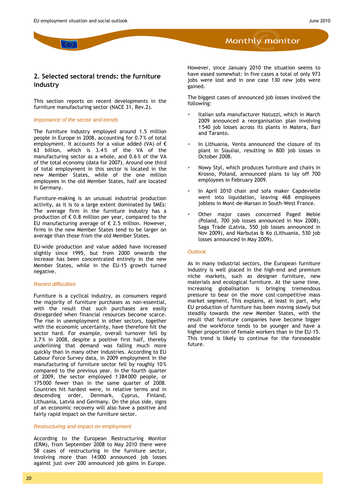#### <span id="page-19-0"></span>**2. Selected sectoral trends: the furniture industry**

This section reports on recent developments in the furniture manufacturing sector (NACE 31, Rev.2).

#### *Importance of the sector and trends*

The furniture industry employed around 1.5 million people in Europe in 2008, accounting for 0.7 % of total employment. It accounts for a value added (VA) of  $\epsilon$ 63 billion, which is 3.4% of the VA of the manufacturing sector as a whole, and 0.6 % of the VA of the total economy (data for 2007). Around one third of total employment in this sector is located in the new Member States, while of the one million employees in the old Member States, half are located in Germany.

Furniture-making is an unusual industrial production activity, as it is to a large extent dominated by SMEs: The average firm in the furniture industry has a production of  $\epsilon$  0.8 million per year, compared to the EU manufacturing average of  $\epsilon$  2.5 million. However, firms in the new Member States tend to be larger on average than those from the old Member States.

EU-wide production and value added have increased slightly since 1995, but from 2000 onwards the increase has been concentrated entirely in the new Member States, while in the EU-15 growth turned negative.

#### *Recent difficulties*

Furniture is a cyclical industry, as consumers regard the majority of furniture purchases as non-essential, with the result that such purchases are easily disregarded when financial resources become scarce. The rise in unemployment in other sectors, together with the economic uncertainty, have therefore hit the sector hard. For example, overall turnover fell by 3.7 % in 2008, despite a positive first half, thereby underlining that demand was falling much more quickly than in many other industries. According to EU Labour Force Survey data, in 2009 employment in the manufacturing of furniture sector fell by roughly 10% compared to the previous year. In the fourth quarter of 2009, the sector employed 1 384 000 people, or 175 000 fewer than in the same quarter of 2008. Countries hit hardest were, in relative terms and in descending order, Denmark, Cyprus, Finland, Lithuania, Latvia and Germany. On the plus side, signs of an economic recovery will also have a positive and fairly rapid impact on the furniture sector.

#### *Restructuring and impact on employment*

According to the European Restructuring Monitor (ERM), from September 2008 to May 2010 there were 58 cases of restructuring in the furniture sector, involving more than 14 000 announced job losses against just over 200 announced job gains in Europe. However, since January 2010 the situation seems to have eased somewhat: in five cases a total of only 973 jobs were lost and in one case 130 new jobs were gained.

**Monthly monitor** 

The biggest cases of announced job losses involved the following:

- Italian sofa manufacturer Natuzzi, which in March 2009 announced a reorganisation plan involving 1 540 job losses across its plants in Matera, Bari and Taranto.
- In Lithuania, Venta announced the closure of its plant in Siauliai, resulting in 800 job losses in October 2008.
- Nowy Styl, which produces furniture and chairs in Krosno, Poland, announced plans to lay off 700 employees in February 2009.
- In April 2010 chair and sofa maker Capdevielle went into liquidation, leaving 468 employees jobless in Mont-de-Marsan in South-West France.
- Other major cases concerned Paged Meble (Poland, 700 job losses announced in Nov 2008), Saga Trade (Latvia, 550 job losses announced in Nov 2009), and Narbutas & Ko (Lithuania, 530 job losses announced in May 2009).

#### *Outlook*

As in many industrial sectors, the European furniture industry is well placed in the high-end and premium niche markets, such as designer furniture, new materials and ecological furniture. At the same time, increasing globalisation is bringing tremendous pressure to bear on the more cost-competitive mass market segment. This explains, at least in part, why EU production of furniture has been moving slowly but steadily towards the new Member States, with the result that furniture companies have become bigger and the workforce tends to be younger and have a higher proportion of female workers than in the EU-15. This trend is likely to continue for the foreseeable future.